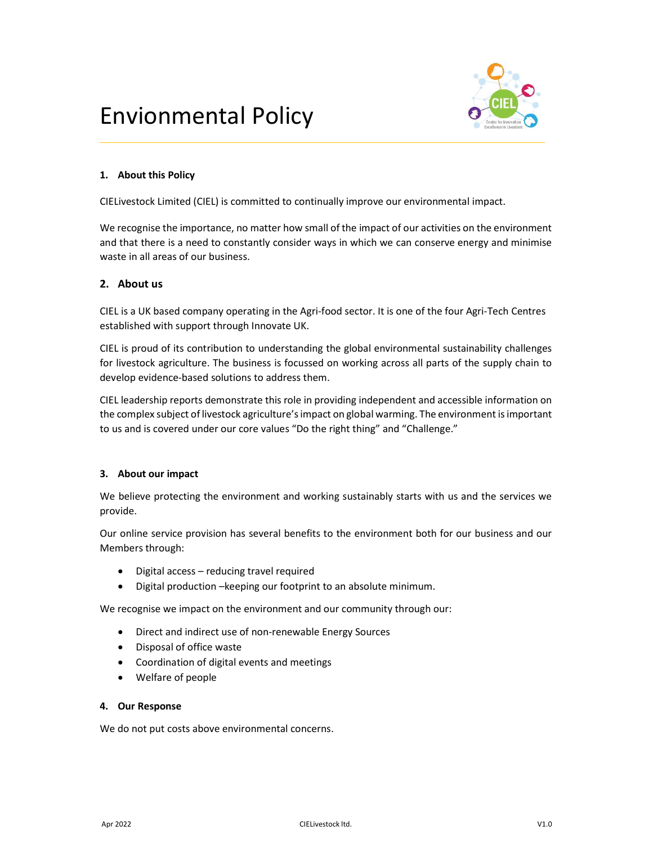# Envionmental Policy



# 1. About this Policy

CIELivestock Limited (CIEL) is committed to continually improve our environmental impact.

We recognise the importance, no matter how small of the impact of our activities on the environment and that there is a need to constantly consider ways in which we can conserve energy and minimise waste in all areas of our business.

# 2. About us

CIEL is a UK based company operating in the Agri-food sector. It is one of the four Agri-Tech Centres established with support through Innovate UK.

CIEL is proud of its contribution to understanding the global environmental sustainability challenges for livestock agriculture. The business is focussed on working across all parts of the supply chain to develop evidence-based solutions to address them.

CIEL leadership reports demonstrate this role in providing independent and accessible information on the complex subject of livestock agriculture's impact on global warming. The environment is important to us and is covered under our core values "Do the right thing" and "Challenge."

## 3. About our impact

We believe protecting the environment and working sustainably starts with us and the services we provide.

Our online service provision has several benefits to the environment both for our business and our Members through:

- Digital access reducing travel required
- Digital production –keeping our footprint to an absolute minimum.

We recognise we impact on the environment and our community through our:

- Direct and indirect use of non-renewable Energy Sources
- Disposal of office waste
- Coordination of digital events and meetings
- Welfare of people

## 4. Our Response

We do not put costs above environmental concerns.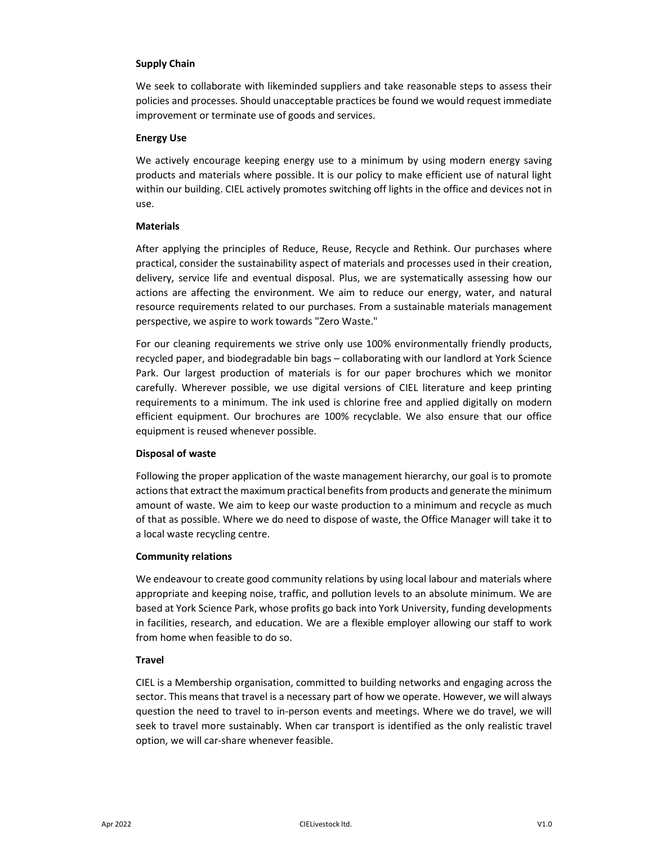## Supply Chain

We seek to collaborate with likeminded suppliers and take reasonable steps to assess their policies and processes. Should unacceptable practices be found we would request immediate improvement or terminate use of goods and services.

#### Energy Use

We actively encourage keeping energy use to a minimum by using modern energy saving products and materials where possible. It is our policy to make efficient use of natural light within our building. CIEL actively promotes switching off lights in the office and devices not in use.

#### Materials

After applying the principles of Reduce, Reuse, Recycle and Rethink. Our purchases where practical, consider the sustainability aspect of materials and processes used in their creation, delivery, service life and eventual disposal. Plus, we are systematically assessing how our actions are affecting the environment. We aim to reduce our energy, water, and natural resource requirements related to our purchases. From a sustainable materials management perspective, we aspire to work towards "Zero Waste."

For our cleaning requirements we strive only use 100% environmentally friendly products, recycled paper, and biodegradable bin bags – collaborating with our landlord at York Science Park. Our largest production of materials is for our paper brochures which we monitor carefully. Wherever possible, we use digital versions of CIEL literature and keep printing requirements to a minimum. The ink used is chlorine free and applied digitally on modern efficient equipment. Our brochures are 100% recyclable. We also ensure that our office equipment is reused whenever possible.

#### Disposal of waste

Following the proper application of the waste management hierarchy, our goal is to promote actions that extract the maximum practical benefits from products and generate the minimum amount of waste. We aim to keep our waste production to a minimum and recycle as much of that as possible. Where we do need to dispose of waste, the Office Manager will take it to a local waste recycling centre.

#### Community relations

We endeavour to create good community relations by using local labour and materials where appropriate and keeping noise, traffic, and pollution levels to an absolute minimum. We are based at York Science Park, whose profits go back into York University, funding developments in facilities, research, and education. We are a flexible employer allowing our staff to work from home when feasible to do so.

#### **Travel**

CIEL is a Membership organisation, committed to building networks and engaging across the sector. This means that travel is a necessary part of how we operate. However, we will always question the need to travel to in-person events and meetings. Where we do travel, we will seek to travel more sustainably. When car transport is identified as the only realistic travel option, we will car-share whenever feasible.